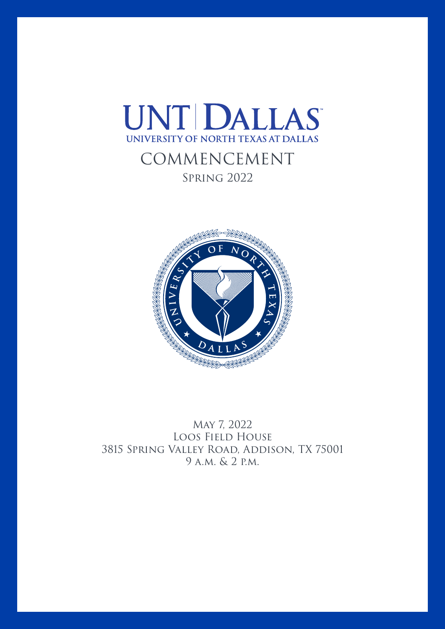



May 7, 2022 Loos Field House 3815 Spring Valley Road, Addison, TX 75001 9 a.m. & 2 p.m.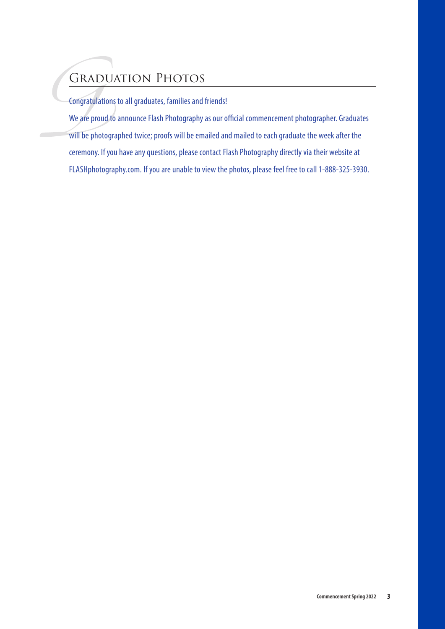# Graduation Photos

Congratulations to all graduates, families and friends!

We are proud to announce Flash Photography as our official commencement photographer. Graduates will be photographed twice; proofs will be emailed and mailed to each graduate the week after the ceremony. If you have any questions, please contact Flash Photography directly via their website at FLASHphotography.com. If you are unable to view the photos, please feel free to call 1-888-325-3930.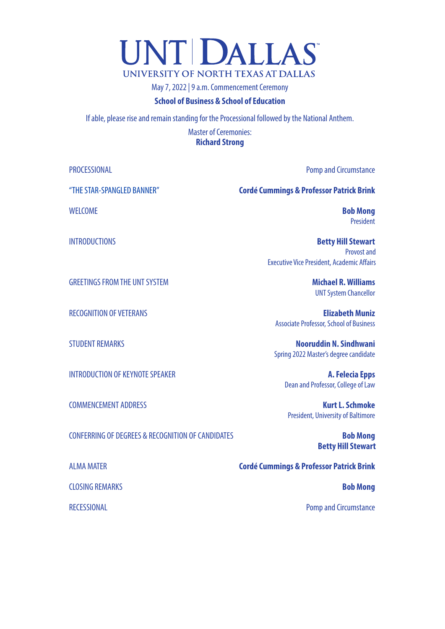# **UNTIDALLAS** UNIVERSITY OF NORTH TEXAS AT DALLAS

May 7, 2022 | 9 a.m. Commencement Ceremony

#### **School of Business & School of Education**

If able, please rise and remain standing for the Processional followed by the National Anthem.

Master of Ceremonies: **Richard Strong**

"THE STAR-SPANGLED BANNER" **Cordé Cummings & Professor Patrick Brink** WELCOME **Bob Mong** INTRODUCTIONS **Betty Hill Stewart** GREETINGS FROM THE UNT SYSTEM **Michael R. Williams** RECOGNITION OF VETERANS **Elizabeth Muniz** STUDENT REMARKS **Nooruddin N. Sindhwani** INTRODUCTION OF KEYNOTE SPEAKER **A. Felecia Epps** 

COMMENCEMENT ADDRESS **Kurt L. Schmoke**  President, University of Baltimore

**Betty Hill Stewart**

ALMA MATER **Cordé Cummings & Professor Patrick Brink**

RECESSIONAL **Pomp and Circumstance** 

CONFERRING OF DEGREES & RECOGNITION OF CANDIDATES **Bob Mong**

CLOSING REMARKS **Bob Mong**

PROCESSIONAL **PROCESSIONAL Processional Pomp and Circumstance** 

President

Provost and Executive Vice President, Academic Affairs

UNT System Chancellor

Associate Professor, School of Business

Spring 2022 Master's degree candidate

Dean and Professor, College of Law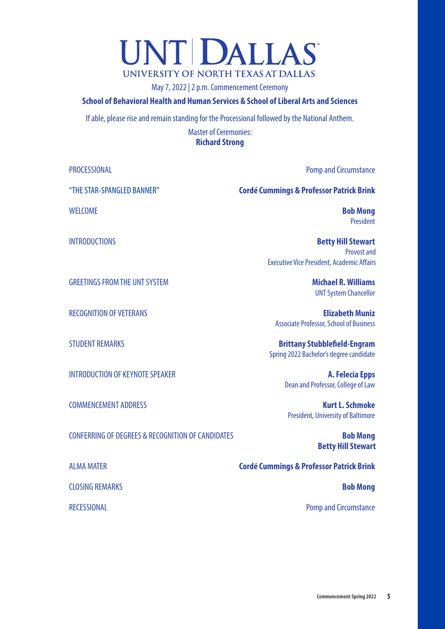# UNT DALLAS UNIVERSITY OF NORTH TEXAS AT DALLAS

May 7, 2022 | 2 p.m. Commencement Ceremony

#### **School of Behavioral Health and Human Services & School of Liberal Arts and Sciences**

If able, please rise and remain standing for the Processional followed by the National Anthem.

Master of Ceremonies: **Richard Strong**

"THE STAR-SPANGLED BANNER" **Cordé Cummings & Professor Patrick Brink** WELCOME **Bob Mong** INTRODUCTIONS **Betty Hill Stewart** GREETINGS FROM THE UNT SYSTEM **Michael R. Williams** RECOGNITION OF VETERANS **Elizabeth Muniz** STUDENT REMARKS **Brittany Stubblefield-Engram** INTRODUCTION OF KEYNOTE SPEAKER **A. Felecia Epps** 

CONFERRING OF DEGREES & RECOGNITION OF CANDIDATES **Bob Mong**

CLOSING REMARKS **Bob Mong**

PROCESSIONAL **PROCESSIONAL PROCESSIONAL** 

President

Provost and Executive Vice President, Academic Affairs

UNT System Chancellor

Associate Professor, School of Business

Spring 2022 Bachelor's degree candidate

Dean and Professor, College of Law

COMMENCEMENT ADDRESS **Kurt L. Schmoke**  President, University of Baltimore

**Betty Hill Stewart**

ALMA MATER **Cordé Cummings & Professor Patrick Brink**

RECESSIONAL **Pomp and Circumstance**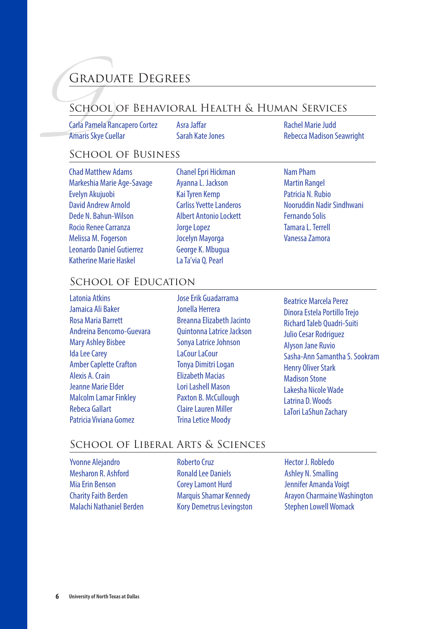# Graduate Degrees

# School of Behavioral Health & Human Services

Carla Pamela Rancapero Cortez **Amaris Skye Cuellar** 

Asra Jaffar Sarah KateJones Rachel Marie Judd Rebecca Madison Seawright

# SCHOOL OF BUSINESS

Chad Matthew Adams Markeshia Marie Age-Savage Evelyn Akujuobi David Andrew Arnold Dede N. Bahun-Wilson Rocio ReneeCarranza Melissa M.Fogerson Leonardo Daniel Gutierrez Katherine Marie Haskel

- Chanel Epri Hickman AyannaL. Jackson KaiTyren Kemp Carliss Yvette Landeros Albert Antonio Lockett Jorge Lopez Jocelyn Mayorga George K. Mbugua La Ta'via Q.Pearl
- Nam Pham Martin Rangel Patricia N. Rubio Nooruddin Nadir Sindhwani Fernando Solis Tamara L. Terrell Vanessa Zamora

# SCHOOL OF EDUCATION

Latonia Atkins Jamaica Ali Baker Rosa Maria Barrett Andreina Bencomo-Guevara Mary Ashley Bisbee **Ida Lee Carey** Amber Caplette Crafton Alexis A.Crain Jeanne Marie Elder **Malcolm Lamar Finkley** Rebeca Gallart Patricia Viviana Gomez

Jose Frik Guadarrama Jonella Herrera Breanna Elizabeth Jacinto QuintonnaLatriceJackson Sonya Latrice Johnson LaCour LaCour Tonya Dimitri Logan Elizabeth Macias LoriLashell Mason Paxton B. McCullough **Claire Lauren Miller Trina Letice Moody** 

**Beatrice Marcela Perez** Dinora Estela Portillo Trejo Richard Taleb Quadri-Suiti Julio Cesar Rodriguez Alyson Jane Ruvio Sasha-Ann Samantha S. Sookram Henry Oliver Stark Madison Stone Lakesha NicoleWade Latrina D.Woods LaTori LaShun Zachary

# School of Liberal Arts & Sciences

Yvonne Alejandro Mesharon R. Ashford MiaErin Benson CharityFaith Berden Malachi Nathaniel Berden Roberto Cruz **Ronald Lee Daniels** CoreyLamont Hurd Marquis Shamar Kennedy Kory Demetrus Levingston Hector J. Robledo Ashley N.Smalling Jennifer Amanda Voigt **Arayon Charmaine Washington Stephen Lowell Womack**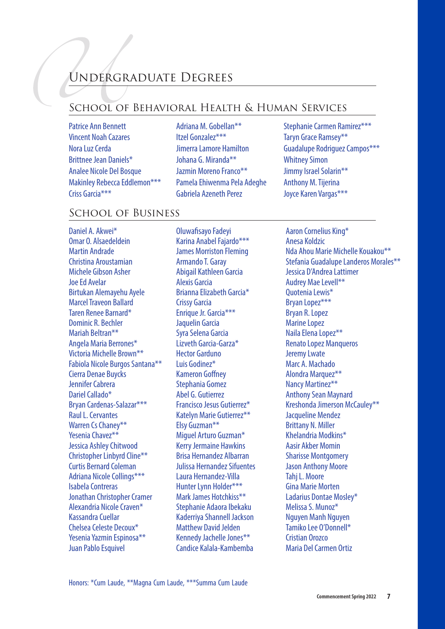# Undergraduate Degrees

# School of Behavioral Health & Human Services

- Patrice Ann Bennett Vincent Noah Cazares Nora Luz Cerda Brittnee Jean Daniels\* Analee Nicole Del Bosque Makinley Rebecca Eddlemon\*\*\* Criss Garcia\*\*\*
- Adriana M. Gobellan\*\* Itzel Gonzalez\*\*\* JimerraLamore Hamilton Johana G. Miranda\*\* Jazmin Moreno Franco\*\* Pamela Ehiwenma Pela Adeghe Gabriela Azeneth Perez
- Stephanie Carmen Ramirez\*\*\* Taryn Grace Ramsey\*\* Guadalupe Rodriguez Campos\*\*\* **Whitney Simon** Jimmy Israel Solarin\*\* Anthony M.Tijerina Joyce Karen Vargas\*\*\*

## School of Business

Daniel A. Akwei\* Omar O. Alsaedeldein Martin Andrade Christina Aroustamian Michele Gibson Asher Joe Ed Avelar Birtukan Alemayehu Ayele MarcelTraveon Ballard Taren Renee Barnard\* Dominic R. Bechler Mariah Beltran\*\* Angela Maria Berrones\* Victoria Michelle Brown\*\* Fabiola Nicole Burgos Santana\*\* Cierra Denae Buycks Jennifer Cabrera Dariel Callado\* Bryan Cardenas-Salazar\*\*\* Raul L. Cervantes Warren Cs Chanev\*\* Yesenia Chavez\*\* Jessica AshleyChitwood Christopher Linbyrd Cline\*\* **Curtis Bernard Coleman** Adriana Nicole Collings\*\*\* Isabela Contreras Jonathan Christopher Cramer Alexandria Nicole Craven\* Kassandra Cuellar Chelsea Celeste Decoux\* Yesenia Yazmin Espinosa\*\* Juan Pablo Esquivel

Oluwafisayo Fadeyi Karina Anabel Fajardo\*\*\* James Morriston Fleming Armando T. Garay Abigail Kathleen Garcia Alexis Garcia Brianna Elizabeth Garcia\* Crissy Garcia Enrique Jr. Garcia<sup>\*\*\*</sup> Jaquelin Garcia Syra Selena Garcia Lizveth Garcia-Garza\* Hector Garduno Luis Godinez\* Kameron Goffney Stephania Gomez Abel G. Gutierrez Francisco Jesus Gutierrez\* Katelyn Marie Gutierrez\*\* Elsy Guzman\*\* Miguel Arturo Guzman\* KerryJermaine Hawkins Brisa Hernandez Albarran Julissa Hernandez Sifuentes Laura Hernandez-Villa Hunter Lynn Holder\*\*\* Mark James Hotchkiss\*\* Stephanie Adaora Ibekaku Kaderriya Shannell Jackson Matthew David Jelden Kennedy Jachelle Jones\*\* Candice Kalala-Kambemba

Aaron Cornelius King\* Anesa Koldzic Nda Ahou Marie Michelle Kouakou\*\* Stefania Guadalupe Landeros Morales\*\* Jessica D'Andrea Lattimer Audrey MaeLevell\*\* Ouotenia Lewis\* Bryan Lopez\*\*\* Bryan R.Lopez Marine Lopez Naila Elena Lopez\*\* **Renato Lopez Manqueros Jeremy Lwate** Marc A. Machado Alondra Marquez\*\* Nancy Martinez\*\* **Anthony Sean Maynard** Kreshonda Jimerson McCauley\*\* Jacqueline Mendez Brittany N. Miller Khelandria Modkins\* Aasir Akber Momin Sharisse Montgomery Jason Anthony Moore Tahi L. Moore Gina Marie Morten Ladarius Dontae Mosley\* Melissa S. Munoz\* Nguyen Manh Nguyen Tamiko Lee O'Donnell\* Cristian Orozco Maria Del Carmen Ortiz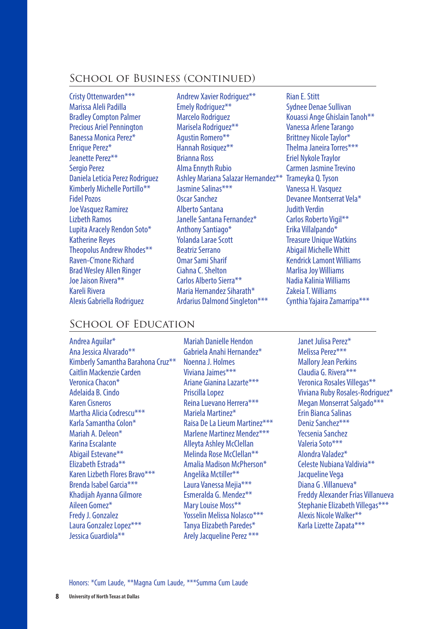### School of Business (continued)

Cristy Ottenwarden\*\*\* Marissa Aleli Padilla **Bradley Compton Palmer** Precious Ariel Pennington Banessa Monica Perez\* Enrique Perez\* Jeanette Perez\*\* Sergio Perez Daniela Leticia Perez Rodriguez Kimberly Michelle Portillo\*\* **Fidel Pozos** Joe Vasquez Ramirez Lizbeth Ramos Lupita Aracely Rendon Soto\* Katherine Reyes Theopolus Andrew Rhodes\*\* Raven-C'mone Richard Brad Wesley Allen Ringer Joe Jaison Rivera\*\* Kareli Rivera Alexis Gabriella Rodriguez

Andrew Xavier Rodriguez\*\* Emely Rodriguez\*\* Marcelo Rodriguez Marisela Rodriguez\*\* Agustin Romero\*\* Hannah Rosiquez\*\* Brianna Ross AlmaEnnyth Rubio Ashley Mariana Salazar Hernandez<sup>\*\*</sup> Jasmine Salinas\*\*\* Oscar Sanchez **Alberto Santana** Janelle Santana Fernandez\* Anthony Santiago\* Yolanda Larae Scott Beatriz Serrano OmarSamiSharif Ciahna C. Shelton Carlos Alberto Sierra\*\* Maria Hernandez Siharath\* Ardarius Dalmond Singleton\*\*\*

Rian E.Stitt Sydnee Denae Sullivan Kouassi Ange Ghislain Tanoh\*\* Vanessa Arlene Tarango Brittney Nicole Taylor\* Thelma Janeira Torres\*\*\* Eriel Nykole Traylor Carmen Jasmine Trevino Trameyka Q.Tyson Vanessa H. Vasquez Devanee Montserrat Vela\* Judith Verdin Carlos Roberto Vigil\*\* Erika Villalpando\* **Treasure Unique Watkins** Abigail MichelleWhitt **Kendrick Lamont Williams Marlisa Joy Williams** Nadia KaliniaWilliams ZakeiaT.Williams Cynthia Yajaira Zamarripa\*\*\*

## SCHOOL OF EDUCATION

Andrea Aguilar\* AnaJessica Alvarado\*\* Kimberly Samantha Barahona Cruz<sup>\*\*</sup> Caitlin Mackenzie Carden Veronica Chacon\* Adelaida B.Cindo Karen Cisneros Martha Alicia Codrescu\*\*\* Karla Samantha Colon\* Mariah A. Deleon\* Karina Escalante Abigail Estevane\*\* Elizabeth Estrada\*\* Karen Lizbeth Flores Bravo\*\*\* Brenda Isabel Garcia<sup>\*\*\*</sup> Khadijah Ayanna Gilmore Aileen Gomez\* FredyJ. Gonzalez Laura Gonzalez Lopez\*\*\* Jessica Guardiola\*\*

Mariah Danielle Hendon Gabriela Anahi Hernandez\* NoennaJ. Holmes Viviana Jaimes\*\*\* Ariane Gianina Lazarte\*\*\* Priscilla Lopez Reina Luevano Herrera\*\*\* Mariela Martinez\* Raisa De La Lieum Martinez\*\*\* Marlene Martinez Mendez\*\*\* Alleyta Ashley McClellan Melinda Rose McClellan\*\* Amalia Madison McPherson\* Angelika Mctiller\*\* Laura Vanessa Mejia\*\*\* Esmeralda G. Mendez\*\* Mary Louise Moss\*\* Yosselin Melissa Nolasco\*\*\* Tanya Elizabeth Paredes\* Arely Jacqueline Perez \*\*\*

Janet Julisa Perez\* Melissa Perez\*\*\* **Mallory Jean Perkins** Claudia G. Rivera\*\*\* Veronica Rosales Villegas\*\* Viviana Ruby Rosales-Rodriguez\* Megan Monserrat Salgado\*\*\* Erin Bianca Salinas Deniz Sanchez\*\*\* Yecsenia Sanchez Valeria Soto\*\*\* Alondra Valadez\* Celeste Nubiana Valdivia\*\* Jacqueline Vega Diana G .Villanueva\* Freddy Alexander Frias Villanueva Stephanie Elizabeth Villegas\*\*\* Alexis NicoleWalker\*\* Karla Lizette Zapata\*\*\*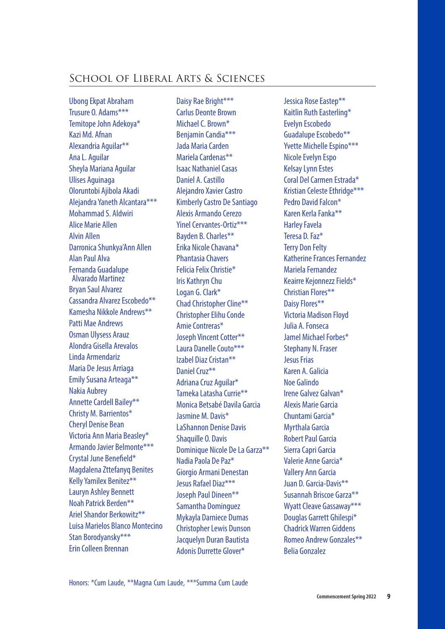# School of Liberal Arts & Sciences

UbongEkpat Abraham Trusure O. Adams\*\*\* Temitope John Adekoya\* Kazi Md. Afnan Alexandria Aguilar\*\* AnaL. Aguilar Sheyla Mariana Aguilar Ulises Aguinaga Oloruntobi Ajibola Akadi Alejandra Yaneth Alcantara\*\*\* Mohammad S. Aldwiri Alice Marie Allen Alvin Allen Darronica Shunkya'Ann Allen Alan Paul Alva Fernanda Guadalupe Alvarado Martinez Bryan Saul Alvarez Cassandra Alvarez Escobedo\*\* Kamesha Nikkole Andrews\*\* Patti Mae Andrews Osman Ulysess Arauz Alondra Gisella Arevalos Linda Armendariz Maria De Jesus Arriaga Emily Susana Arteaga\*\* Nakia Aubrey Annette Cardell Bailey\*\* Christy M. Barrientos\* Cheryl Denise Bean Victoria Ann Maria Beasley\* Armando Javier Belmonte\*\*\* Crystal June Benefield\* Magdalena Zttefanyg Benites Kelly Yamilex Benitez\*\* Lauryn Ashley Bennett Noah Patrick Berden\*\* Ariel Shandor Berkowitz<sup>\*\*</sup> Luisa Marielos Blanco Montecino Stan Borodyansky\*\*\* Erin Colleen Brennan

Daisy Rae Bright\*\*\* Carlus Deonte Brown Michael C. Brown\* Benjamin Candia\*\*\* Jada Maria Carden Mariela Cardenas\*\* Isaac NathanielCasas Daniel A.Castillo Alejandro Xavier Castro Kimberly Castro De Santiago Alexis Armando Cerezo Yinel Cervantes-Ortiz\*\*\* Bayden B.Charles\*\* Erika Nicole Chavana\* Phantasia Chavers Felicia Felix Christie\* Iris Kathryn Chu Logan G. Clark\* Chad Christopher Cline\*\* Christopher Elihu Conde AmieContreras\* Joseph Vincent Cotter\*\* Laura Danelle Couto\*\*\* Izabel Diaz Cristan\*\* Daniel Cruz\*\* Adriana Cruz Aquilar\* Tameka Latasha Currie\*\* Monica Betsabé Davila Garcia Jasmine M. Davis\* LaShannon Denise Davis Shaquille O. Davis Dominique Nicole De La Garza\*\* Nadia Paola De Paz\* Giorgio Armani Denestan Jesus Rafael Diaz\*\*\* Joseph Paul Dineen\*\* Samantha Dominguez Mykayla Darniece Dumas Christopher Lewis Dunson Jacquelyn Duran Bautista Adonis Durrette Glover\*

Jessica Rose Eastep\*\* Kaitlin Ruth Easterling\* Evelyn Escobedo Guadalupe Escobedo\*\* Yvette Michelle Espino\*\*\* Nicole Evelyn Espo KelsayLynn Estes Coral Del Carmen Estrada\* Kristian Celeste Ethridge\*\*\* Pedro David Falcon\* Karen Kerla Fanka<sup>\*\*</sup> **Harley Favela** Teresa D. Faz\* Terry Don Felty Katherine Frances Fernandez Mariela Fernandez Keairre Kejonnezz Fields\* Christian Flores\*\* Daisy Flores\*\* Victoria Madison Floyd Julia A.Fonseca Jamel Michael Forbes\* Stephany N. Fraser **Jesus Frias** Karen A. Galicia Noe Galindo Irene Galvez Galvan\* Alexis Marie Garcia Chuntami Garcia\* Myrthala Garcia **Robert Paul Garcia** Sierra Capri Garcia Valerie Anne Garcia\* Vallery Ann Garcia Juan D. Garcia-Davis\*\* Susannah Briscoe Garza\*\* Wyatt Cleave Gassaway\*\*\* Douglas Garrett Ghilespi\* ChadrickWarren Giddens Romeo Andrew Gonzales\*\* Belia Gonzalez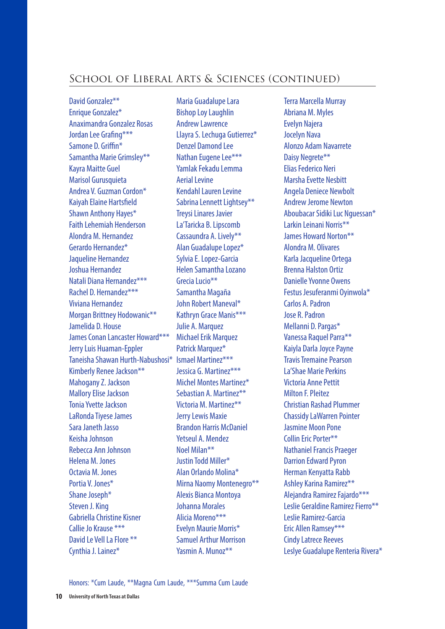# School of Liberal Arts & Sciences (continued)

David Gonzalez\*\* Enrique Gonzalez\* Anaximandra Gonzalez Rosas Jordan Lee Grafing\*\*\* Samone D. Griffin\* Samantha Marie Grimsley\*\* Kayra Maitte Guel Marisol Gurusquieta Andrea V. Guzman Cordon\* Kaiyah Elaine Hartsfield Shawn Anthony Hayes\* Faith Lehemiah Henderson Alondra M. Hernandez Gerardo Hernandez\* Jaqueline Hernandez Joshua Hernandez Natali Diana Hernandez\*\*\* Rachel D. Hernandez\*\*\* Viviana Hernandez Morgan Brittney Hodowanic\*\* Jamelida D. House James Conan Lancaster Howard\*\*\* JerryLuis Huaman-Eppler Taneisha Shawan Hurth-Nabushosi\* Ismael Martinez\*\*\* Kimberly Renee Jackson\*\* Mahogany Z. Jackson Mallory Elise Jackson Tonia Yvette Jackson LaRonda Tivese James SaraJaneth Jasso Keisha Johnson Rebecca Ann Johnson Helena M. Jones Octavia M. Jones Portia V. Jones\* Shane Joseph\* Steven J. King Gabriella Christine Kisner Callie Jo Krause \*\*\* David Le Vell La Flore \*\* Cynthia J. Lainez\*

Maria Guadalupe Lara **Bishop Loy Laughlin** Andrew Lawrence Llayra S. Lechuga Gutierrez\* Denzel Damond Lee Nathan Eugene Lee\*\*\* Yamlak Fekadu Lemma **Aerial Levine** Kendahl Lauren Levine Sabrina Lennett Lightsey\*\* **Treysi Linares Javier** La'Taricka B.Lipscomb Cassaundra A.Lively\*\* Alan Guadalupe Lopez\* SylviaE.Lopez-Garcia Helen Samantha Lozano Grecia Lucio<sup>\*\*</sup> Samantha Magaña John Robert Maneval\* Kathryn Grace Manis\*\*\* Julie A. Marquez Michael Erik Marquez Patrick Marquez\* Jessica G. Martinez\*\*\* Michel Montes Martinez\* Sebastian A. Martinez\*\* Victoria M. Martinez\*\* Jerry Lewis Maxie Brandon Harris McDaniel Yetseul A. Mendez Noel Milan\*\* Justin Todd Miller\* Alan Orlando Molina\* Mirna Naomy Montenegro\*\* Alexis Bianca Montoya Johanna Morales Alicia Moreno\*\*\* Evelyn Maurie Morris\* Samuel Arthur Morrison Yasmin A. Munoz\*\*

Terra Marcella Murray Abriana M. Myles Evelyn Najera Jocelyn Nava Alonzo Adam Navarrete Daisy Negrete<sup>\*\*</sup> Elias Federico Neri Marsha Evette Nesbitt Angela Deniece Newbolt Andrew Jerome Newton Aboubacar Sidiki Luc Nguessan\* Larkin Leinani Norris\*\* James Howard Norton\*\* Alondra M. Olivares Karla Jacqueline Ortega Brenna Halston Ortiz Danielle Yvonne Owens Festus Jesuferanmi Oyinwola\* Carlos A.Padron Jose R.Padron Mellanni D.Pargas\* Vanessa Raquel Parra\*\* Kaiyla Darla Joyce Payne **Travis Tremaine Pearson** La'Shae MariePerkins Victoria Anne Pettit Milton F.Pleitez Christian Rashad Plummer ChassidyLaWarren Pointer Jasmine Moon Pone Collin Fric Porter\*\* Nathaniel Francis Praeger Darrion Edward Pyron Herman Kenyatta Rabb Ashley Karina Ramirez\*\* Alejandra Ramirez Fajardo\*\*\* Leslie Geraldine Ramirez Fierro\*\* Leslie Ramirez-Garcia Eric Allen Ramsey\*\*\* **Cindy Latrece Reeves** Leslye Guadalupe Renteria Rivera\*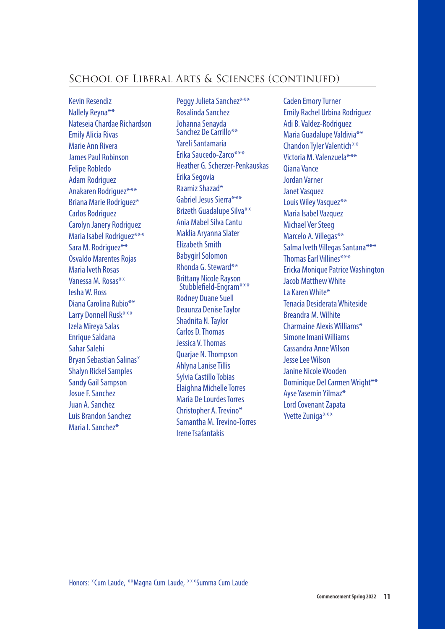# School of Liberal Arts & Sciences (continued)

Kevin Resendiz Nallely Reyna\*\* Nateseia Chardae Richardson Emily Alicia Rivas Marie Ann Rivera James Paul Robinson Felipe Robledo Adam Rodriguez Anakaren Rodriguez\*\*\* Briana Marie Rodriguez\* Carlos Rodriguez Carolyn Janery Rodriguez Maria Isabel Rodriguez\*\*\* Sara M. Rodriguez\*\* Osvaldo Marentes Rojas Maria Iveth Rosas Vanessa M. Rosas\*\* IeshaW. Ross Diana Carolina Rubio<sup>\*\*</sup> Larry Donnell Rusk\*\*\* Izela Mireya Salas **Enrique Saldana** Sahar Salehi Bryan Sebastian Salinas\* **Shalyn Rickel Samples Sandy Gail Sampson** Josue F. Sanchez Juan A.Sanchez Luis Brandon Sanchez Maria I. Sanchez\*

Peggy Julieta Sanchez\*\*\* Rosalinda Sanchez Johanna Senavda Sanchez De Carrillo\*\* Yareli Santamaria Erika Saucedo-Zarco\*\*\* Heather G. Scherzer-Penkauskas Erika Segovia Raamiz Shazad\* Gabriel Jesus Sierra\*\*\* Brizeth Guadalupe Silva\*\* Ania Mabel Silva Cantu Maklia Aryanna Slater Elizabeth Smith **Babygirl Solomon** Rhonda G. Steward\*\* Brittany Nicole Rayson<br>Stubblefield-Engram\*\*\* **Rodney Duane Suell** Deaunza Denise Taylor Shadnita N.Taylor Carlos D.Thomas Jessica V.Thomas Quarjae N.Thompson **Ahlyna Lanise Tillis** Sylvia Castillo Tobias Elaighna Michelle Torres Maria De Lourdes Torres Christopher A.Trevino\* Samantha M.Trevino-Torres IreneTsafantakis

**Caden Emory Turner** Emily Rachel Urbina Rodriguez Adi B. Valdez-Rodriguez Maria Guadalupe Valdivia\*\* Chandon Tyler Valentich\*\* Victoria M. Valenzuela\*\*\* Qiana Vance Jordan Varner Janet Vasquez Louis Wiley Vasquez\*\* Maria Isabel Vazquez Michael Ver Steeg Marcelo A. Villegas\*\* Salma Iveth Villegas Santana\*\*\* Thomas Farl Villines\*\*\* Ericka Monique PatriceWashington Jacob MatthewWhite La KarenWhite\* Tenacia DesiderataWhiteside Breandra M.Wilhite Charmaine AlexisWilliams\* Simone Imani Williams Cassandra AnneWilson Jesse Lee Wilson Janine Nicole Wooden Dominique Del Carmen Wright\*\* Ayse Yasemin Yilmaz\* Lord Covenant Zapata Yvette Zuniga\*\*\*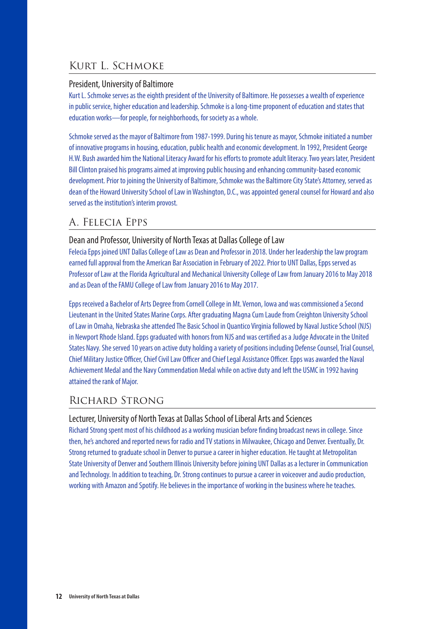# Kurt L. Schmoke

#### President, University of Baltimore

Kurt L. Schmoke serves as the eighth president of the University of Baltimore. He possesses a wealth of experience in public service, higher education and leadership. Schmoke is a long-time proponent of education and states that education works—for people, for neighborhoods, for society as a whole.

Schmoke served as the mayor of Baltimore from 1987-1999. During his tenure as mayor, Schmoke initiated a number of innovative programs in housing, education, public health and economic development. In 1992, President George H.W. Bush awarded him the National Literacy Award for his efforts to promote adult literacy. Two years later, President Bill Clinton praised his programs aimed at improving public housing and enhancing community-based economic development. Prior to joining the University of Baltimore, Schmoke was the Baltimore City State's Attorney, served as dean of the Howard University School of Law in Washington, D.C., was appointed general counsel for Howard and also served as the institution's interim provost.

# A. Felecia Epps

#### Dean and Professor, University of North Texas at Dallas College of Law

Felecia Epps joined UNT Dallas College of Law as Dean and Professor in 2018. Under her leadership the law program earned full approval from the American Bar Association in February of 2022. Prior to UNT Dallas, Epps served as Professor of Law at the Florida Agricultural and Mechanical University College of Law from January 2016 to May 2018 and as Dean of the FAMU College of Law from January 2016 to May 2017.

Epps received a Bachelor of Arts Degree from Cornell College in Mt. Vernon, Iowa and was commissioned a Second Lieutenant in the United States Marine Corps. After graduating Magna Cum Laude from Creighton University School of Law in Omaha, Nebraska she attended The Basic School in Quantico Virginia followed by Naval Justice School (NJS) in Newport Rhode Island. Epps graduated with honors from NJS and was certified as a Judge Advocate in the United States Navy. She served 10 years on active duty holding a variety of positions including Defense Counsel, Trial Counsel, Chief Military Justice Officer, Chief Civil Law Officer and Chief Legal Assistance Officer. Epps was awarded the Naval Achievement Medal and the Navy Commendation Medal while on active duty and left the USMC in 1992 having attained the rank of Major.

# Richard Strong

#### Lecturer, University of North Texas at Dallas School of Liberal Arts and Sciences

Richard Strong spent most of his childhood as a working musician before finding broadcast news in college. Since then, he's anchored and reported news for radio and TV stations in Milwaukee, Chicago and Denver. Eventually, Dr. Strong returned to graduate school in Denver to pursue a career in higher education. He taught at Metropolitan State University of Denver and Southern Illinois University before joining UNT Dallas as a lecturer in Communication and Technology. In addition to teaching, Dr. Strong continues to pursue a career in voiceover and audio production, working with Amazon and Spotify. He believes in the importance of working in the business where he teaches.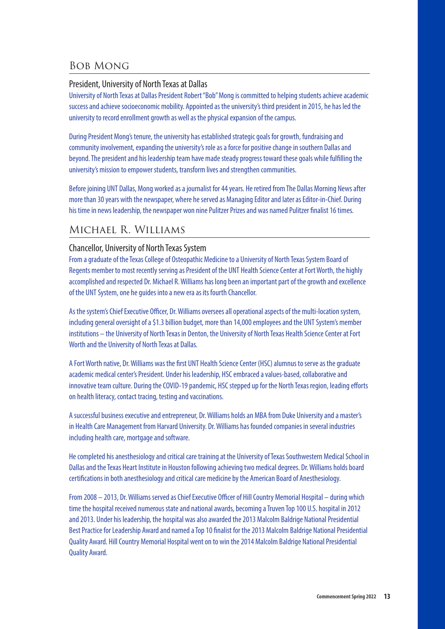# Bob Mong

#### President, University of North Texas at Dallas

University of North Texas at Dallas President Robert "Bob" Mong is committed to helping students achieve academic success and achieve socioeconomic mobility. Appointed as the university's third president in 2015, he has led the university to record enrollment growth as well as the physical expansion of the campus.

During President Mong's tenure, the university has established strategic goals for growth, fundraising and community involvement, expanding the university's role as a force for positive change in southern Dallas and beyond. The president and his leadership team have made steady progress toward these goals while fulfilling the university's mission to empower students, transform lives and strengthen communities.

Before joining UNT Dallas, Mong worked as a journalist for 44 years. He retired from The Dallas Morning News after more than 30 years with the newspaper, where he served as Managing Editor and later as Editor-in-Chief. During his time in news leadership, the newspaper won nine Pulitzer Prizes and was named Pulitzer finalist 16 times.

# Michael R. Williams

#### Chancellor, University of North Texas System

From a graduate of the Texas College of Osteopathic Medicine to a University of North Texas System Board of Regents member to most recently serving as President of the UNT Health Science Center at Fort Worth, the highly accomplished and respected Dr. Michael R. Williams has long been an important part of the growth and excellence of the UNT System, one he guides into a new era as its fourth Chancellor.

As the system's Chief Executive Officer, Dr. Williams oversees all operational aspects of the multi-location system, including general oversight of a \$1.3 billion budget, more than 14,000 employees and the UNT System's member institutions – the University of North Texas in Denton, the University of North Texas Health Science Center at Fort Worth and the University of North Texas at Dallas.

A Fort Worth native, Dr. Williams was the first UNT Health Science Center (HSC) alumnus to serve as the graduate academic medical center's President. Under his leadership, HSC embraced a values-based, collaborative and innovative team culture. During the COVID-19 pandemic, HSC stepped up for the North Texas region, leading efforts on health literacy, contact tracing, testing and vaccinations.

A successful business executive and entrepreneur, Dr. Williams holds an MBA from Duke University and a master's in Health Care Management from Harvard University. Dr. Williams has founded companies in several industries including health care, mortgage and software.

He completed his anesthesiology and critical care training at the University of Texas Southwestern Medical School in Dallas and the Texas Heart Institute in Houston following achieving two medical degrees. Dr. Williams holds board certifications in both anesthesiology and critical care medicine by the American Board of Anesthesiology.

From 2008 – 2013, Dr. Williams served as Chief Executive Officer of Hill Country Memorial Hospital – during which time the hospital received numerous state and national awards, becoming a Truven Top 100 U.S. hospital in 2012 and 2013. Under his leadership, the hospital was also awarded the 2013 Malcolm Baldrige National Presidential Best Practice for Leadership Award and named a Top 10 finalist for the 2013 Malcolm Baldrige National Presidential Quality Award. Hill Country Memorial Hospital went on to win the 2014 Malcolm Baldrige National Presidential Quality Award.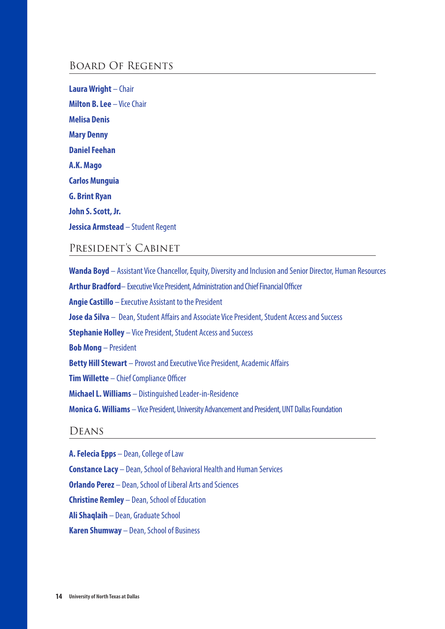## Board Of Regents

**Laura Wright** – Chair **Milton B. Lee** – Vice Chair **Melisa Denis Mary Denny Daniel Feehan A.K. Mago Carlos Munguia G. Brint Ryan John S. Scott, Jr. Jessica Armstead** – Student Regent

### President's Cabinet

**Wanda Boyd** – Assistant Vice Chancellor, Equity, Diversity and Inclusion and Senior Director, Human Resources **Arthur Bradford**– Executive Vice President, Administration and Chief Financial Officer **Angie Castillo** – Executive Assistant to the President **Jose da Silva** – Dean, Student Affairs and Associate Vice President, Student Access and Success **Stephanie Holley** – Vice President, Student Access and Success **Bob Mong** – President **Betty Hill Stewart** – Provost and Executive Vice President, Academic Affairs **Tim Willette** – Chief Compliance Officer **Michael L. Williams** – Distinguished Leader-in-Residence **Monica G. Williams** – Vice President, University Advancement and President, UNT Dallas Foundation

## **DEANS**

**A. Felecia Epps** – Dean, College of Law **Constance Lacy** – Dean, School of Behavioral Health and Human Services **Orlando Perez** – Dean, School of Liberal Arts and Sciences **Christine Remley** – Dean, School of Education **Ali Shaqlaih** – Dean, Graduate School **Karen Shumway** – Dean, School of Business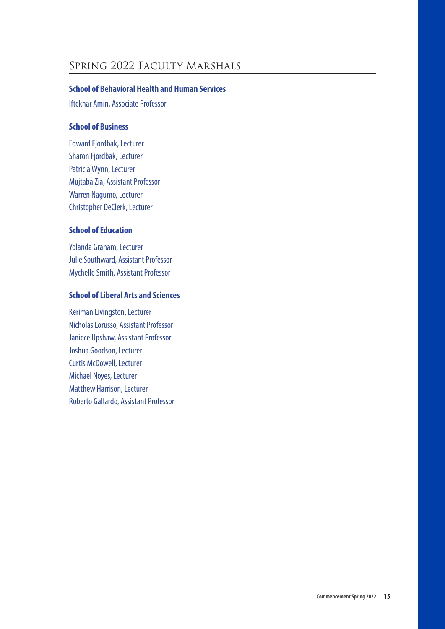# Spring 2022 Faculty Marshals

#### **School of Behavioral Health and Human Services**

Iftekhar Amin, Associate Professor

#### **School of Business**

Edward Fjordbak, Lecturer Sharon Fjordbak, Lecturer Patricia Wynn, Lecturer Mujtaba Zia, Assistant Professor Warren Nagumo, Lecturer Christopher DeClerk, Lecturer

### **School of Education**

Yolanda Graham, Lecturer Julie Southward, Assistant Professor Mychelle Smith, Assistant Professor

#### **School of Liberal Arts and Sciences**

Keriman Livingston, Lecturer Nicholas Lorusso, Assistant Professor Janiece Upshaw, Assistant Professor Joshua Goodson, Lecturer Curtis McDowell, Lecturer Michael Noyes, Lecturer Matthew Harrison, Lecturer Roberto Gallardo, Assistant Professor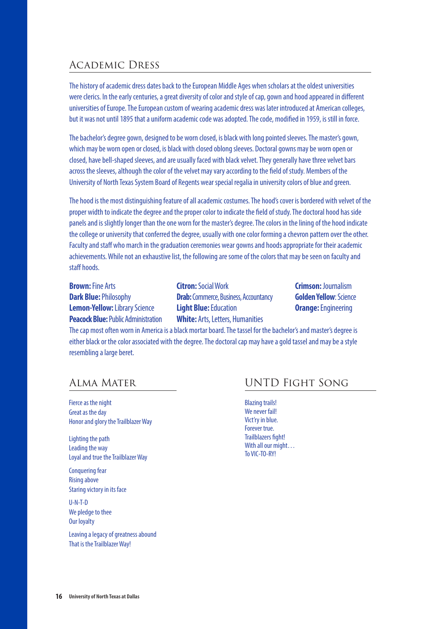# Academic Dress

The history of academic dress dates back to the European Middle Ages when scholars at the oldest universities were clerics. In the early centuries, a great diversity of color and style of cap, gown and hood appeared in different universities of Europe. The European custom of wearing academic dress was later introduced at American colleges, but it was not until 1895 that a uniform academic code was adopted. The code, modified in 1959, is still in force.

The bachelor's degree gown, designed to be worn closed, is black with long pointed sleeves. The master's gown, which may be worn open or closed, is black with closed oblong sleeves. Doctoral gowns may be worn open or closed, have bell-shaped sleeves, and are usually faced with black velvet. They generally have three velvet bars across the sleeves, although the color of the velvet may vary according to the field of study. Members of the University of North Texas System Board of Regents wear special regalia in university colors of blue and green.

The hood is the most distinguishing feature of all academic costumes. The hood's cover is bordered with velvet of the proper width to indicate the degree and the proper color to indicate the field of study. The doctoral hood has side panels and is slightly longer than the one worn for the master's degree. The colors in the lining of the hood indicate the college or university that conferred the degree, usually with one color forming a chevron pattern over the other. Faculty and staff who march in the graduation ceremonies wear gowns and hoods appropriate for their academic achievements. While not an exhaustive list, the following are some of the colors that may be seen on faculty and staff hoods.

**Brown:** Fine Arts **Citron:** Social Work **Crimson:** Journalism **Peacock Blue:** Public Administration **White:** Arts, Letters, Humanities

**Dark Blue:** Philosophy **Drab:** Commerce, Business, Accountancy **Golden Yellow**: Science **Lemon-Yellow:** Library Science **Light Blue:** Education **Orange:** Engineering

The cap most often worn in America is a black mortar board. The tassel for the bachelor's and master's degree is either black or the color associated with the degree. The doctoral cap may have a gold tassel and may be a style resembling a large beret.

Fierce as the night Great as the day Honor and glory the Trailblazer Way

Lighting the path Leading the way Loyal and true the Trailblazer Way

Conquering fear Rising above Staring victory in its face

U-N-T-D We pledge to thee Our loyalty

Leaving a legacy of greatness abound That is the Trailblazer Way!

# Alma Mater UNTD Fight Song

Blazing trails! We never fail! Vict'ry in blue. Forever true. Trailblazers fight! With all our might… To VIC-TO-RY!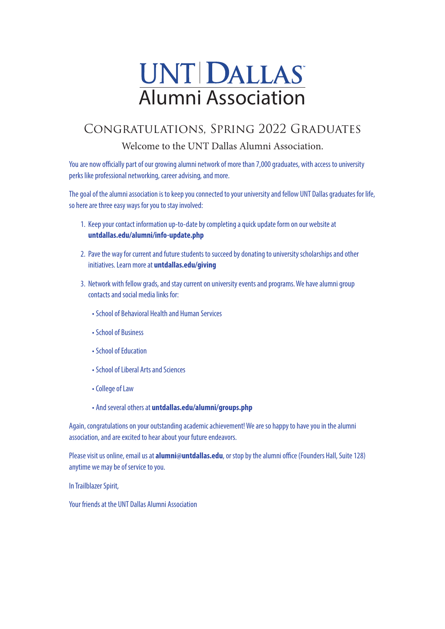# UNT DALLAS Alumni Association

# Congratulations, Spring 2022 Graduates

Welcome to the UNT Dallas Alumni Association.

You are now officially part of our growing alumni network of more than 7,000 graduates, with access to university perks like professional networking, career advising, and more.

The goal of the alumni association is to keep you connected to your university and fellow UNT Dallas graduates for life, so here are three easy ways for you to stay involved:

- 1. Keep your contact information up-to-date by completing a quick update form on our website at **untdallas.edu/alumni/info-update.php**
- 2. Pave the way for current and future students to succeed by donating to university scholarships and other initiatives. Learn more at **untdallas.edu/giving**
- 3. Network with fellow grads, and stay current on university events and programs. We have alumni group contacts and social media links for:
	- School of Behavioral Health and Human Services
	- School of Business
	- School of Education
	- School of Liberal Arts and Sciences
	- College of Law
	- And several others at **untdallas.edu/alumni/groups.php**

Again, congratulations on your outstanding academic achievement! We are so happy to have you in the alumni association, and are excited to hear about your future endeavors.

Please visit us online, email us at **alumni@untdallas.edu**, or stop by the alumni office (Founders Hall, Suite 128) anytime we may be of service to you.

In Trailblazer Spirit,

Your friends at the UNT Dallas Alumni Association